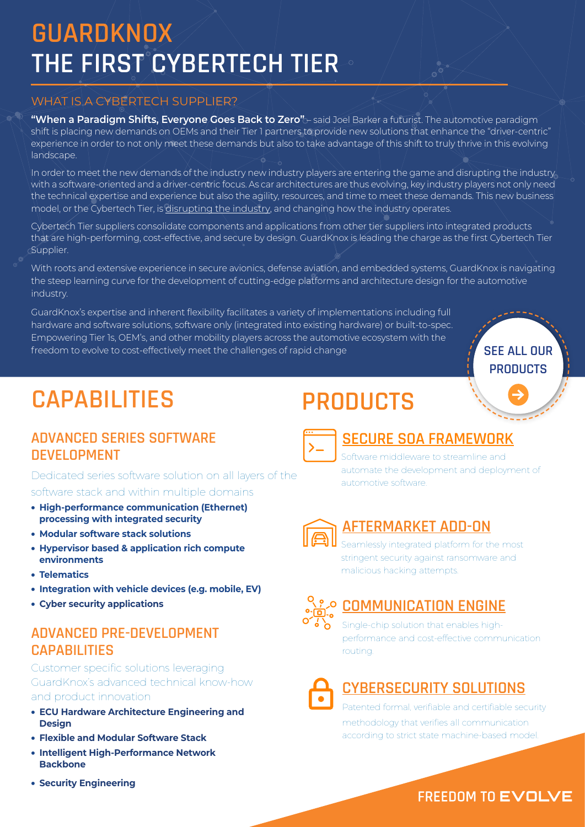# **GUARDKNOX THE FIRST CYBERTECH TIER**

#### WHAT IS A CYBERTECH SUPPLIER?

"When a Paradigm Shifts, Everyone Goes Back to Zero" – said Joel Barker a futurist. The automotive paradigm shift is placing new demands on OEMs and their Tier 1 partners to provide new solutions that enhance the "driver-centric" experience in order to not only meet these demands but also to take advantage of this shift to truly thrive in this evolving landscape.

In order to meet the new demands of the industry new industry players are entering the game and disrupting the industry with a software-oriented and a driver-centric focus. As car architectures are thus evolving, key industry players not only need the technical expertise and experience but also the agility, resources, and time to meet these demands. This new business model, or the Cybertech Tier, is [disrupting the industry,](https://drive.google.com/file/d/1PUPP70qRdHnA83U_IZSN7WLG6THNG4Mo/view) and changing how the industry operates.

Cybertech Tier suppliers consolidate components and applications from other tier suppliers into integrated products that are high-performing, cost-effective, and secure by design. GuardKnox is leading the charge as the first Cybertech Tier Supplier.

With roots and extensive experience in secure avionics, defense aviation, and embedded systems, GuardKnox is navigating the steep learning curve for the development of cutting-edge platforms and architecture design for the automotive industry.

GuardKnox's expertise and inherent flexibility facilitates a variety of implementations including full hardware and software solutions, software only (integrated into existing hardware) or built-to-spec. Empowering Tier 1s, OEM's, and other mobility players across the automotive ecosystem with the freedom to evolve to cost-effectively meet the challenges of rapid change

**[SEE ALL OUR](https://www.guardknox.com/products/) PRODUCTS**

# **CAPABILITIES**

## **ADVANCED SERIES SOFTWARE [SECURE SOA FRAMEWORK](https://www.guardknox.com/automotive-soa/) DEVELOPMENT**

Dedicated series software solution on all layers of the software stack and within multiple domains

- **High-performance communication (Ethernet) processing with integrated security**
- **Modular software stack solutions**
- **Hypervisor based & application rich compute environments**
- **Telematics**
- **Integration with vehicle devices (e.g. mobile, EV)**
- **Cyber security applications**

## **ADVANCED PRE-DEVELOPMENT CAPABILITIES**

Customer specific solutions leveraging GuardKnox's advanced technical know-how and product innovation

- **ECU Hardware Architecture Engineering and Design**
- **Flexible and Modular Software Stack**
- **Intelligent High-Performance Network Backbone**
- **Security Engineering**

# **PRODUCTS**



Software middleware to streamline and automate the development and deployment of automotive software.



## **AFTERMARKET ADD-ON**

Seamlessly integrated platform for the most stringent security against ransomware and malicious hacking attempts.



## **[COMMUNICATION ENGINE](https://www.guardknox.com/military-products/)**

Single-chip solution that enables highperformance and cost-effective communication routing.



# **[CYBERSECURITY SOLUTIONS](https://www.guardknox.com/automotive-cybersecurity-by-design/)**

Patented formal, verifiable and certifiable security methodology that verifies all communication according to strict state machine-based model.

# **FREEDOM TO EVOLVE**